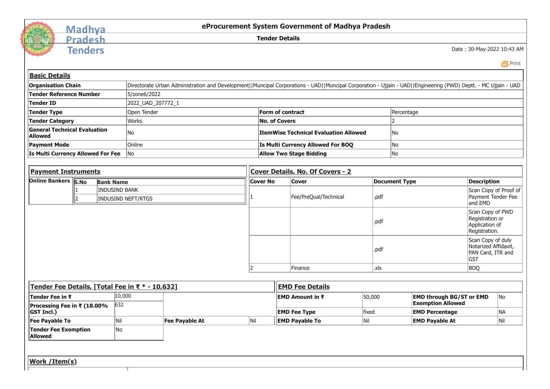

## Madhya<br>Pradesh

**Tenders** 

**eProcurement System Government of Madhya Pradesh**

**Tender Details**

Date : 30-May-2022 10:43 AM

 $E$  [Print](javascript:void(0);)

| <b>Organisation Chain</b>                             |                          |                      | Directorate Urban Administration and Development  Muncipal Corporations - UAD  Muncipal Corporation - Ujjain - UAD  Engineering (PWD) Deptt. - MC Ujjain - UAD |                |     |                                  |                                              |       |                       |                                                             |                                                                              |           |  |  |
|-------------------------------------------------------|--------------------------|----------------------|----------------------------------------------------------------------------------------------------------------------------------------------------------------|----------------|-----|----------------------------------|----------------------------------------------|-------|-----------------------|-------------------------------------------------------------|------------------------------------------------------------------------------|-----------|--|--|
| <b>Tender Reference Number</b>                        |                          |                      | 5/zone6/2022                                                                                                                                                   |                |     |                                  |                                              |       |                       |                                                             |                                                                              |           |  |  |
| <b>Tender ID</b>                                      |                          |                      | 2022_UAD_207772_1                                                                                                                                              |                |     |                                  |                                              |       |                       |                                                             |                                                                              |           |  |  |
| <b>Tender Type</b>                                    |                          |                      | Open Tender                                                                                                                                                    |                |     | Form of contract                 |                                              |       | Percentage            |                                                             |                                                                              |           |  |  |
| <b>Tender Category</b>                                |                          |                      | Works                                                                                                                                                          |                |     | <b>No. of Covers</b>             |                                              |       | $\mathcal{P}$         |                                                             |                                                                              |           |  |  |
| <b>General Technical Evaluation</b><br><b>Allowed</b> |                          |                      | No                                                                                                                                                             |                |     |                                  | <b>ItemWise Technical Evaluation Allowed</b> |       | No.                   |                                                             |                                                                              |           |  |  |
| <b>Payment Mode</b>                                   |                          |                      | Online                                                                                                                                                         |                |     |                                  | Is Multi Currency Allowed For BOQ            | No    |                       |                                                             |                                                                              |           |  |  |
| Is Multi Currency Allowed For Fee                     |                          |                      | $\overline{\phantom{a}}$ No                                                                                                                                    |                |     |                                  | <b>Allow Two Stage Bidding</b>               |       | No                    |                                                             |                                                                              |           |  |  |
|                                                       |                          |                      |                                                                                                                                                                |                |     |                                  |                                              |       |                       |                                                             |                                                                              |           |  |  |
| <b>Payment Instruments</b>                            |                          |                      |                                                                                                                                                                |                |     | Cover Details, No. Of Covers - 2 |                                              |       |                       |                                                             |                                                                              |           |  |  |
| Online Bankers S.No                                   |                          | <b>Bank Name</b>     |                                                                                                                                                                |                |     | <b>Cover No</b>                  | <b>Cover</b>                                 |       | <b>Document Type</b>  |                                                             | <b>Description</b>                                                           |           |  |  |
|                                                       | $\overline{\phantom{a}}$ | <b>INDUSIND BANK</b> | <b>INDUSIND NEFT/RTGS</b>                                                                                                                                      |                |     |                                  | Fee/PreQual/Technical                        | .pdf  |                       |                                                             | Scan Copy of Proof of<br>Payment Tender Fee                                  |           |  |  |
|                                                       |                          |                      |                                                                                                                                                                |                |     |                                  |                                              |       |                       | and EMD                                                     |                                                                              |           |  |  |
|                                                       |                          |                      |                                                                                                                                                                |                |     |                                  |                                              | .pdf  |                       |                                                             | Scan Copy of PWD<br>Registration or<br>Application of<br>Registration.       |           |  |  |
|                                                       |                          |                      |                                                                                                                                                                |                |     |                                  |                                              | .pdf  |                       |                                                             | Scan Copy of duly<br>Notarized Affidavit,<br>PAN Card, ITR and<br><b>GST</b> |           |  |  |
|                                                       |                          |                      |                                                                                                                                                                |                |     |                                  | Finance                                      | .xls  |                       |                                                             | <b>BOQ</b>                                                                   |           |  |  |
|                                                       |                          |                      |                                                                                                                                                                |                |     |                                  |                                              |       |                       |                                                             |                                                                              |           |  |  |
| Tender Fee Details, [Total Fee in ₹ * - 10,632]       |                          |                      |                                                                                                                                                                |                |     |                                  | <b>EMD Fee Details</b>                       |       |                       |                                                             |                                                                              |           |  |  |
| Tender Fee in ₹                                       |                          | 10,000<br>632        |                                                                                                                                                                |                |     |                                  | EMD Amount in ₹                              |       |                       | <b>EMD through BG/ST or EMD</b><br><b>Exemption Allowed</b> |                                                                              | No        |  |  |
| Processing Fee in ₹ (18.00%<br><b>GST Incl.)</b>      |                          |                      |                                                                                                                                                                |                |     |                                  | <b>EMD Fee Type</b>                          | fixed | <b>EMD Percentage</b> |                                                             |                                                                              | <b>NA</b> |  |  |
| <b>Fee Payable To</b>                                 |                          | Nil                  |                                                                                                                                                                | Fee Payable At | Nil |                                  | <b>EMD Payable To</b>                        | Nil   |                       | <b>EMD Payable At</b>                                       |                                                                              | Nil       |  |  |
| <b>Tender Fee Exemption</b><br><b>Allowed</b>         |                          | No                   |                                                                                                                                                                |                |     |                                  |                                              |       |                       |                                                             |                                                                              |           |  |  |
|                                                       |                          |                      |                                                                                                                                                                |                |     |                                  |                                              |       |                       |                                                             |                                                                              |           |  |  |